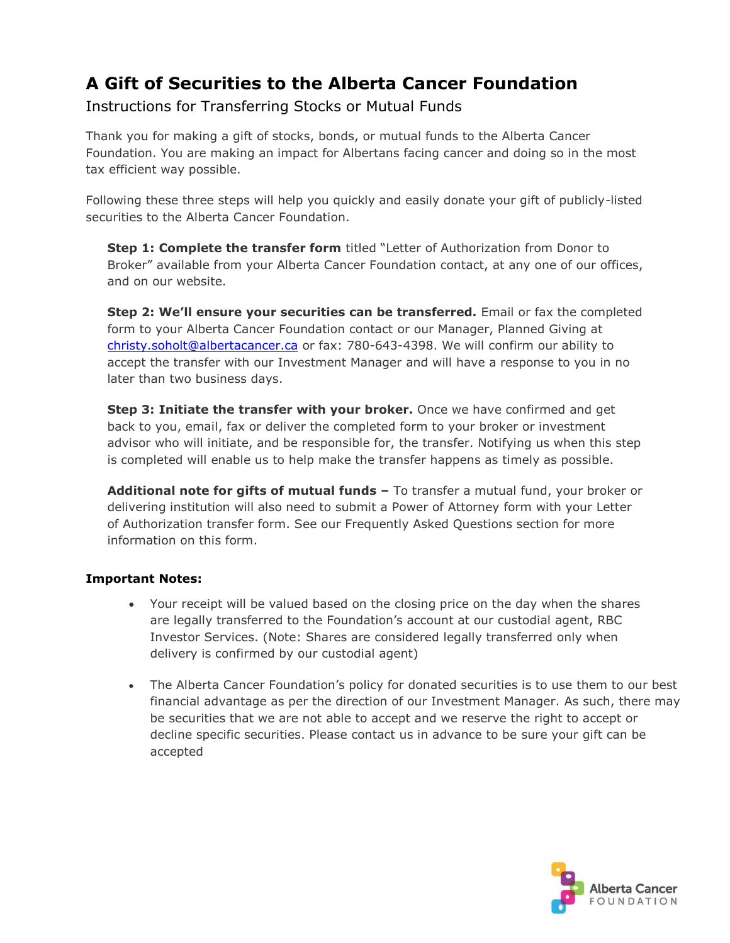## **A Gift of Securities to the Alberta Cancer Foundation**

Instructions for Transferring Stocks or Mutual Funds

Thank you for making a gift of stocks, bonds, or mutual funds to the Alberta Cancer Foundation. You are making an impact for Albertans facing cancer and doing so in the most tax efficient way possible.

Following these three steps will help you quickly and easily donate your gift of publicly-listed securities to the Alberta Cancer Foundation.

**Step 1: Complete the transfer form** titled "Letter of Authorization from Donor to Broker" available from your Alberta Cancer Foundation contact, at any one of our offices, and on our website.

**Step 2: We'll ensure your securities can be transferred.** Email or fax the completed form to your Alberta Cancer Foundation contact or our Manager, Planned Giving at christy.soholt[@albertacancer.ca](mailto:christy.soholt@albertacancer.ca) or fax: 780-643-4398. We will confirm our ability to accept the transfer with our Investment Manager and will have a response to you in no later than two business days.

**Step 3: Initiate the transfer with your broker.** Once we have confirmed and get back to you, email, fax or deliver the completed form to your broker or investment advisor who will initiate, and be responsible for, the transfer. Notifying us when this step is completed will enable us to help make the transfer happens as timely as possible.

**Additional note for gifts of mutual funds –** To transfer a mutual fund, your broker or delivering institution will also need to submit a Power of Attorney form with your Letter of Authorization transfer form. See our Frequently Asked Questions section for more information on this form.

### **Important Notes:**

- Your receipt will be valued based on the closing price on the day when the shares are legally transferred to the Foundation's account at our custodial agent, RBC Investor Services. (Note: Shares are considered legally transferred only when delivery is confirmed by our custodial agent)
- The Alberta Cancer Foundation's policy for donated securities is to use them to our best financial advantage as per the direction of our Investment Manager. As such, there may be securities that we are not able to accept and we reserve the right to accept or decline specific securities. Please contact us in advance to be sure your gift can be accepted

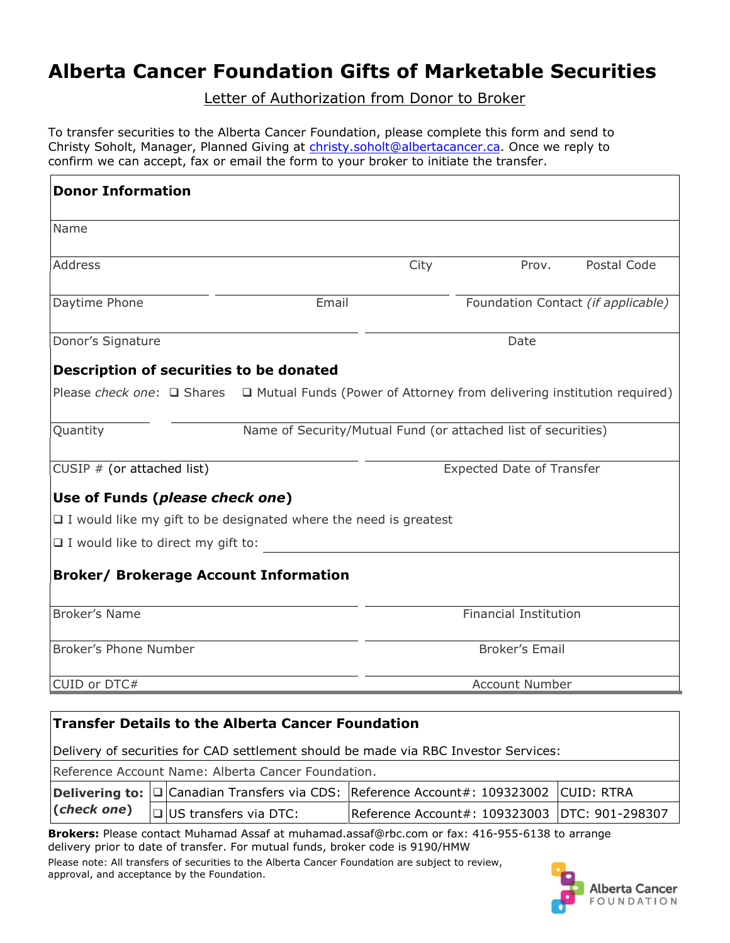# **Alberta Cancer Foundation Gifts of Marketable Securities**

Letter of Authorization from Donor to Broker

To transfer securities to the Alberta Cancer Foundation, please complete this form and send to Christy Soholt, Manager, Planned Giving at christy.soholt[@albertacancer.ca.](mailto:christy.soholt@albertacancer.ca) Once we reply to confirm we can accept, fax or email the form to your broker to initiate the transfer.

| <b>Donor Information</b>                                                                                     |                                                               |                                  |       |                                    |
|--------------------------------------------------------------------------------------------------------------|---------------------------------------------------------------|----------------------------------|-------|------------------------------------|
| Name                                                                                                         |                                                               |                                  |       |                                    |
| <b>Address</b>                                                                                               |                                                               | City                             | Prov. | Postal Code                        |
| Daytime Phone                                                                                                | Email                                                         |                                  |       | Foundation Contact (if applicable) |
| Donor's Signature                                                                                            |                                                               | Date                             |       |                                    |
| Description of securities to be donated                                                                      |                                                               |                                  |       |                                    |
| Please check one: $\Box$ Shares $\Box$ Mutual Funds (Power of Attorney from delivering institution required) |                                                               |                                  |       |                                    |
| Quantity                                                                                                     | Name of Security/Mutual Fund (or attached list of securities) |                                  |       |                                    |
| CUSIP $#$ (or attached list)                                                                                 |                                                               | <b>Expected Date of Transfer</b> |       |                                    |
| Use of Funds (please check one)                                                                              |                                                               |                                  |       |                                    |
| $\Box$ I would like my gift to be designated where the need is greatest                                      |                                                               |                                  |       |                                    |
| $\Box$ I would like to direct my gift to:                                                                    |                                                               |                                  |       |                                    |
| <b>Broker/ Brokerage Account Information</b>                                                                 |                                                               |                                  |       |                                    |
| <b>Broker's Name</b>                                                                                         |                                                               | <b>Financial Institution</b>     |       |                                    |
| Broker's Phone Number                                                                                        |                                                               | <b>Broker's Email</b>            |       |                                    |
| CUID or DTC#                                                                                                 |                                                               | Account Number                   |       |                                    |
|                                                                                                              |                                                               |                                  |       |                                    |
| <b>Transfer Details to the Alberta Cancer Foundation</b>                                                     |                                                               |                                  |       |                                    |
| Delivery of securities for CAD settlement should be made via RBC Investor Services:                          |                                                               |                                  |       |                                    |

Reference Account Name: Alberta Cancer Foundation. **Delivering to:**  $\Box$  Canadian Transfers via CDS: Reference Account#: 109323002 CUID: RTRA **(***check one***)**  $\Box$ US transfers via DTC: Reference Account#: 109323003 DTC: 901-298307

**Brokers:** Please contact Muhamad Assaf at muhamad.assaf@rbc.com or fax: 416-955-6138 to arrange delivery prior to date of transfer. For mutual funds, broker code is 9190/HMW

Please note: All transfers of securities to the Alberta Cancer Foundation are subject to review, approval, and acceptance by the Foundation.